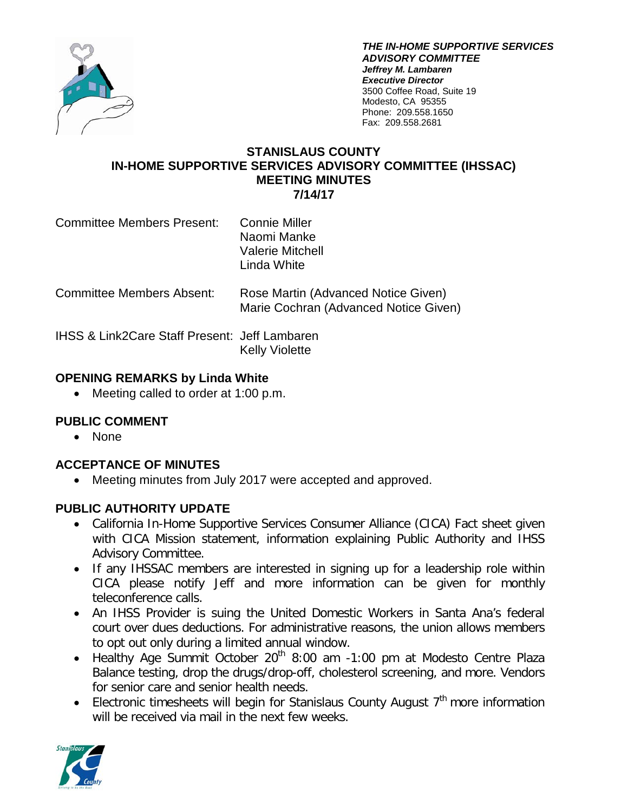

*THE IN-HOME SUPPORTIVE SERVICES ADVISORY COMMITTEE Jeffrey M. Lambaren Executive Director* 3500 Coffee Road, Suite 19 Modesto, CA 95355 Phone: 209.558.1650 Fax: 209.558.2681

### **STANISLAUS COUNTY IN-HOME SUPPORTIVE SERVICES ADVISORY COMMITTEE (IHSSAC) MEETING MINUTES 7/14/17**

| <b>Committee Members Present:</b> | <b>Connie Miller</b><br>Naomi Manke |
|-----------------------------------|-------------------------------------|
|                                   | <b>Valerie Mitchell</b>             |
|                                   | Linda White                         |

Committee Members Absent: Rose Martin (Advanced Notice Given) Marie Cochran (Advanced Notice Given)

IHSS & Link2Care Staff Present: Jeff Lambaren Kelly Violette

# **OPENING REMARKS by Linda White**

• Meeting called to order at 1:00 p.m.

# **PUBLIC COMMENT**

• None

# **ACCEPTANCE OF MINUTES**

• Meeting minutes from July 2017 were accepted and approved.

# **PUBLIC AUTHORITY UPDATE**

- California In-Home Supportive Services Consumer Alliance (CICA) Fact sheet given with CICA Mission statement, information explaining Public Authority and IHSS Advisory Committee.
- If any IHSSAC members are interested in signing up for a leadership role within CICA please notify Jeff and more information can be given for monthly teleconference calls.
- An IHSS Provider is suing the United Domestic Workers in Santa Ana's federal court over dues deductions. For administrative reasons, the union allows members to opt out only during a limited annual window.
- Healthy Age Summit October  $20<sup>th</sup>$  8:00 am -1:00 pm at Modesto Centre Plaza Balance testing, drop the drugs/drop-off, cholesterol screening, and more. Vendors for senior care and senior health needs.
- Electronic timesheets will begin for Stanislaus County August  $7<sup>th</sup>$  more information will be received via mail in the next few weeks.

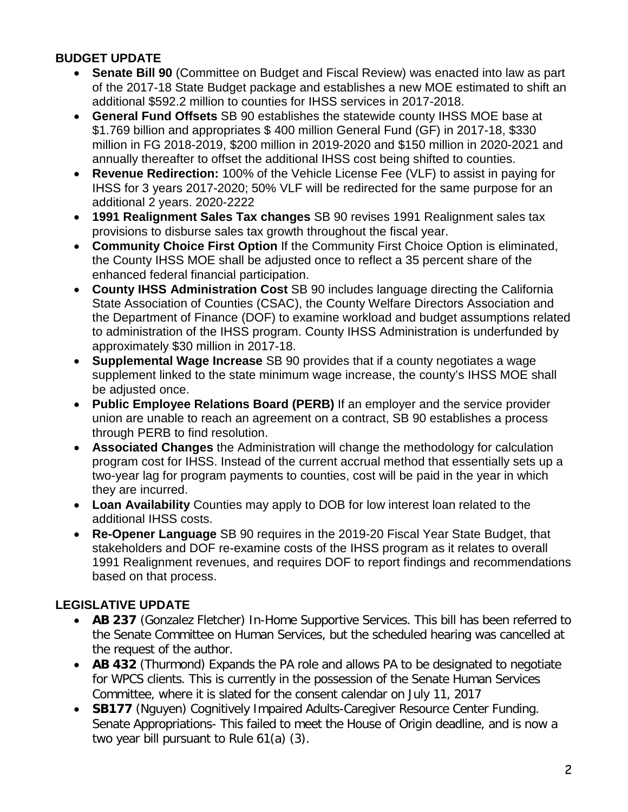# **BUDGET UPDATE**

- **Senate Bill 90** (Committee on Budget and Fiscal Review) was enacted into law as part of the 2017-18 State Budget package and establishes a new MOE estimated to shift an additional \$592.2 million to counties for IHSS services in 2017-2018.
- **General Fund Offsets** SB 90 establishes the statewide county IHSS MOE base at \$1.769 billion and appropriates \$ 400 million General Fund (GF) in 2017-18, \$330 million in FG 2018-2019, \$200 million in 2019-2020 and \$150 million in 2020-2021 and annually thereafter to offset the additional IHSS cost being shifted to counties.
- **Revenue Redirection:** 100% of the Vehicle License Fee (VLF) to assist in paying for IHSS for 3 years 2017-2020; 50% VLF will be redirected for the same purpose for an additional 2 years. 2020-2222
- **1991 Realignment Sales Tax changes** SB 90 revises 1991 Realignment sales tax provisions to disburse sales tax growth throughout the fiscal year.
- **Community Choice First Option** If the Community First Choice Option is eliminated, the County IHSS MOE shall be adjusted once to reflect a 35 percent share of the enhanced federal financial participation.
- **County IHSS Administration Cost** SB 90 includes language directing the California State Association of Counties (CSAC), the County Welfare Directors Association and the Department of Finance (DOF) to examine workload and budget assumptions related to administration of the IHSS program. County IHSS Administration is underfunded by approximately \$30 million in 2017-18.
- **Supplemental Wage Increase** SB 90 provides that if a county negotiates a wage supplement linked to the state minimum wage increase, the county's IHSS MOE shall be adjusted once.
- **Public Employee Relations Board (PERB)** If an employer and the service provider union are unable to reach an agreement on a contract, SB 90 establishes a process through PERB to find resolution.
- **Associated Changes** the Administration will change the methodology for calculation program cost for IHSS. Instead of the current accrual method that essentially sets up a two-year lag for program payments to counties, cost will be paid in the year in which they are incurred.
- **Loan Availability** Counties may apply to DOB for low interest loan related to the additional IHSS costs.
- **Re-Opener Language** SB 90 requires in the 2019-20 Fiscal Year State Budget, that stakeholders and DOF re-examine costs of the IHSS program as it relates to overall 1991 Realignment revenues, and requires DOF to report findings and recommendations based on that process.

# **LEGISLATIVE UPDATE**

- **AB 237** (Gonzalez Fletcher) In-Home Supportive Services. This bill has been referred to the Senate Committee on Human Services, but the scheduled hearing was cancelled at the request of the author.
- **AB 432** (Thurmond) Expands the PA role and allows PA to be designated to negotiate for WPCS clients. This is currently in the possession of the Senate Human Services Committee, where it is slated for the consent calendar on July 11, 2017
- **SB177** (Nguyen) Cognitively Impaired Adults-Caregiver Resource Center Funding. Senate Appropriations- This failed to meet the House of Origin deadline, and is now a two year bill pursuant to Rule 61(a) (3).